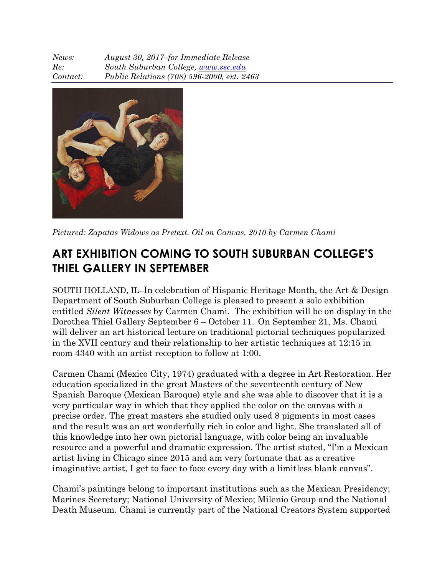*News: August 30, 2017–for Immediate Release Re: South Suburban College, www.ssc.edu Contact: Public Relations (708) 596-2000, ext. 2463*



*Pictured: Zapatas Widows as Pretext. Oil on Canvas, 2010 by Carmen Chami*

## **ART EXHIBITION COMING TO SOUTH SUBURBAN COLLEGE'S THIEL GALLERY IN SEPTEMBER**

SOUTH HOLLAND, IL–In celebration of Hispanic Heritage Month, the Art & Design Department of South Suburban College is pleased to present a solo exhibition entitled *Silent Witnesses* by Carmen Chami. The exhibition will be on display in the Dorothea Thiel Gallery September 6 – October 11. On September 21, Ms. Chami will deliver an art historical lecture on traditional pictorial techniques popularized in the XVII century and their relationship to her artistic techniques at 12:15 in room 4340 with an artist reception to follow at 1:00.

Carmen Chami (Mexico City, 1974) graduated with a degree in Art Restoration. Her education specialized in the great Masters of the seventeenth century of New Spanish Baroque (Mexican Baroque) style and she was able to discover that it is a very particular way in which that they applied the color on the canvas with a precise order. The great masters she studied only used 8 pigments in most cases and the result was an art wonderfully rich in color and light. She translated all of this knowledge into her own pictorial language, with color being an invaluable resource and a powerful and dramatic expression. The artist stated, "I'm a Mexican artist living in Chicago since 2015 and am very fortunate that as a creative imaginative artist, I get to face to face every day with a limitless blank canvas".

Chami's paintings belong to important institutions such as the Mexican Presidency; Marines Secretary; National University of Mexico; Milenio Group and the National Death Museum. Chami is currently part of the National Creators System supported